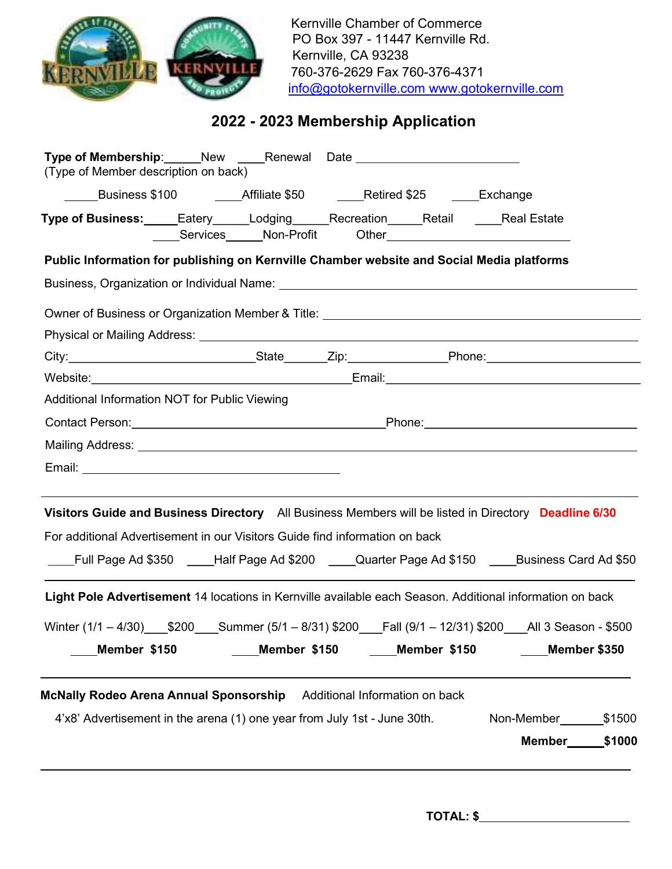

Kernville Chamber of Commerce PO Box 397 - 11447 Kernville Rd. Kernville, CA 93238 760-376-2629 Fax 760-376-4371 info@gotokernville.com www.gotokernville.com

# 2022 - 2023 Membership Application

| Type of Membership: Mew Member Renewal Date<br>(Type of Member description on back)                      |              |                                |              |                      |  |
|----------------------------------------------------------------------------------------------------------|--------------|--------------------------------|--------------|----------------------|--|
| ______Business \$100    _____Affiliate \$50    _____Retired \$25    ____Exchange                         |              |                                |              |                      |  |
| Type of Business: Eatery Lodging Recreation Retail Cheal Estate                                          |              |                                |              |                      |  |
| Public Information for publishing on Kernville Chamber website and Social Media platforms                |              |                                |              |                      |  |
|                                                                                                          |              |                                |              |                      |  |
|                                                                                                          |              |                                |              |                      |  |
|                                                                                                          |              |                                |              |                      |  |
|                                                                                                          |              |                                |              |                      |  |
|                                                                                                          |              |                                |              |                      |  |
| Additional Information NOT for Public Viewing                                                            |              |                                |              |                      |  |
|                                                                                                          |              |                                |              |                      |  |
|                                                                                                          |              |                                |              |                      |  |
|                                                                                                          |              |                                |              |                      |  |
| Visitors Guide and Business Directory All Business Members will be listed in Directory Deadline 6/30     |              |                                |              |                      |  |
| For additional Advertisement in our Visitors Guide find information on back                              |              |                                |              |                      |  |
| Full Page Ad \$350 ____Half Page Ad \$200 ____Quarter Page Ad \$150 ____Business Card Ad \$50            |              |                                |              |                      |  |
| Light Pole Advertisement 14 locations in Kernville available each Season. Additional information on back |              |                                |              |                      |  |
| Winter (1/1 - 4/30) \$200 Summer (5/1 - 8/31) \$200 Fall (9/1 - 12/31) \$200 All 3 Season - \$500        |              |                                |              |                      |  |
| Member \$150                                                                                             | Member \$150 |                                | Member \$150 | Member \$350         |  |
| <b>McNally Rodeo Arena Annual Sponsorship</b>                                                            |              | Additional Information on back |              |                      |  |
| 4'x8' Advertisement in the arena (1) one year from July 1st - June 30th.                                 |              |                                |              | Non-Member 1500      |  |
|                                                                                                          |              |                                |              | <b>Member</b> \$1000 |  |